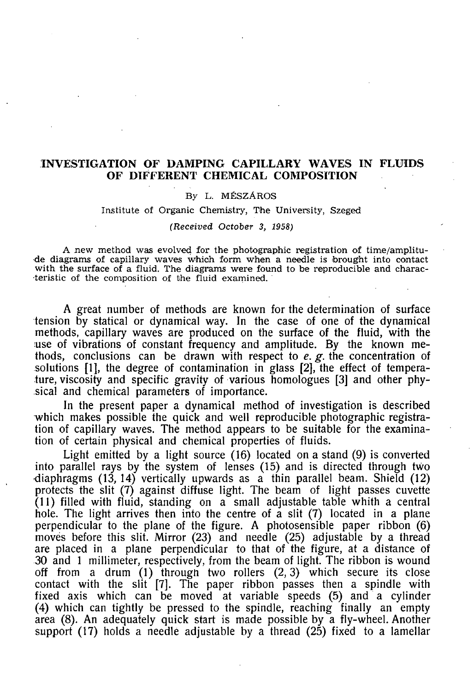# INVESTIGATION OF DAMPING CAPILLARY WAVES IN FLUIDS OF DIFFERENT CHEMICAL COMPOSITION

## **By L. MÉSZÁROS**

**Institute of Organic Chemistry, The University, Szeged** 

#### *(Received October 3, 1958)*

**A new method was evolved for the photographic registration of time/amplitude diagrams of capillary waves which form when a needle is brought into contact with the surface of a fluid. The diagrams were found to be reproducible and characteristic of the composition of the fluid examined.** 

A great number of methods are known for the determination of surface tension by statical or dynamical way. In the case of one of the dynamical methods, capillary waves are produced on the surface of the fluid, with the use of vibrations of constant frequency and amplitude. By the known methods, conclusions can be drawn with respect to *e. g.* the concentration of solutions [1], the degree of contamination in glass [2], the effect of temperature, viscosity and specific gravity of various homologues [3] and other physical and chemical parameters of importance.

In the present paper a dynamical method of investigation is described which makes possible the quick and well reproducible photographic registration of capillary waves. The method appears to be suitable for the examination of certain physical and chemical properties of fluids.

Light emitted by a light source (16) located on a stand (9) is converted into parallel rays by the system of lenses (15) and is directed through two •diaphragms (13, 14) vertically upwards as a thin parallel beam. Shield (12) protects the slit (7) against diffuse light. The beam of light passes cuvette  $(11)$  filled with fluid, standing on a small adjustable table whith a central hole. The light arrives then into the centre of a slit (7) located in a plane perpendicular to the plane of the figure. A photosensible paper ribbon (6) moves before this slit. Mirror (23) and needle (25) adjustable by a thread are placed in a plane perpendicular to that of the figure, at a distance of 30 and 1 millimeter, respectively, from the beam of light. The ribbon is wound off from a drum  $(1)$  through two rollers  $(2,3)$  which secure its close contact with the slit [7]. The paper ribbon passes then a spindle with fixed axis which can be moved at variable speeds (5) and a cylinder (4) which can tightly be pressed to the spindle, reaching finally an empty area (8). An adequately quick start is made possible by a fly-wheel. Another support (17) holds a needle adjustable by a thread (25) fixed to a lamellar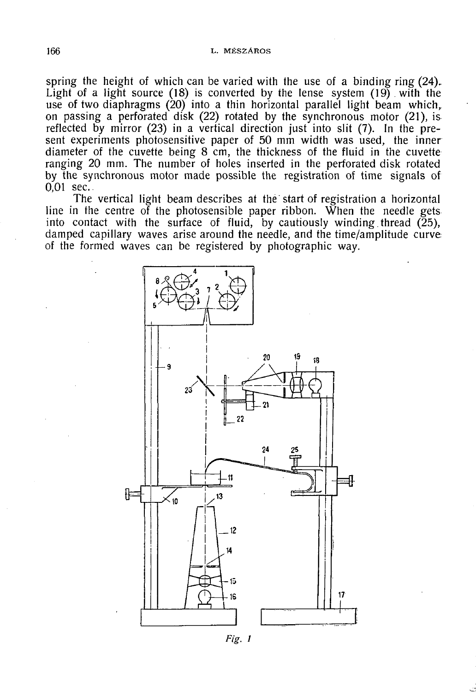### 166 L. MÉSZÁROS

spring the height of which can be varied with the use of a binding ring (24). Light of a light source (18) is converted by the lense system (19). with the use of two diaphragms (20) into a thin horizontal parallel light beam which, on passing a perforated disk (22) rotated by the synchronous motor (21), is reflected by mirror (23) in a vertical direction just into slit (7). In the present experiments photosensitive paper of 50 mm width was used, the inner diameter of the cuvette being 8 cm, the thickness of the fluid in the cuvette ranging 20 mm. The number of holes inserted in the perforated disk rotated by the synchronous motor made possible the registration of time signals of 0,01 sec..

The vertical light beam describes at the start of registration a horizontal line in the centre of the photosensible paper ribbon. When the needle gets into contact with the surface of fluid, by cautiously winding thread  $(25)$ , damped capillary waves arise around the needle, and the time/amplitude curve of the formed waves can be registered by photographic way.



*Fig. l*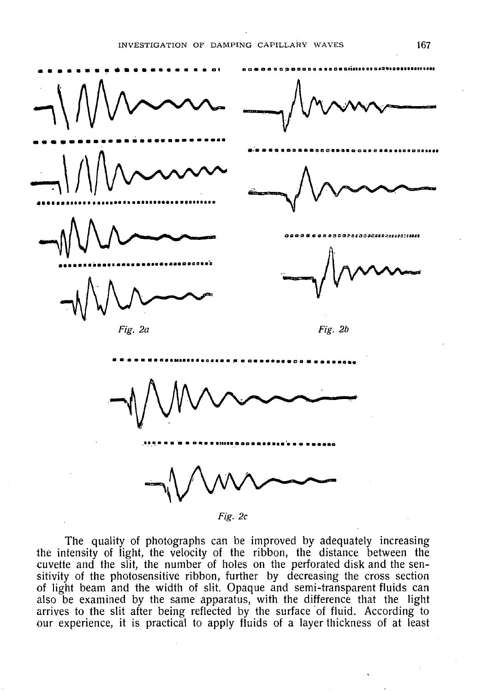

Fig. 2c

The quality of photographs can be improved by adequately increasing the intensity of light, the velocity of the ribbon, the distance between the cuvette and the slit, the number of holes on the perforated disk and the sensitivity of the photosensitive ribbon, further by decreasing the cross section of light beam and the width of slit. Opaque and semi-transparent fluids can also be examined by the same apparatus, with the difference that the light arrives to the slit after being reflected by the surface of fluid. According to our experience, it is practical to apply fluids of a layer thickness of at least